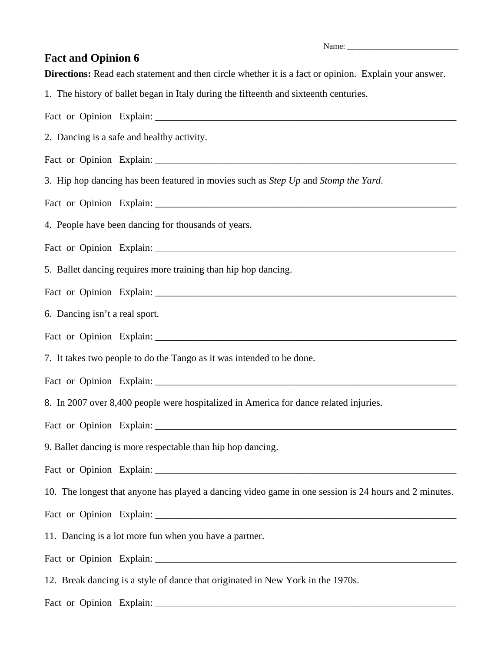Name:

## **Fact and Opinion 6**

**Directions:** Read each statement and then circle whether it is a fact or opinion. Explain your answer.

1. The history of ballet began in Italy during the fifteenth and sixteenth centuries.

Fact or Opinion Explain: 2. Dancing is a safe and healthy activity. Fact or Opinion Explain: 3. Hip hop dancing has been featured in movies such as *Step Up* and *Stomp the Yard*. Fact or Opinion Explain: \_\_\_\_\_\_\_\_\_\_\_\_\_\_\_\_\_\_\_\_\_\_\_\_\_\_\_\_\_\_\_\_\_\_\_\_\_\_\_\_\_\_\_\_\_\_\_\_\_\_\_\_\_\_\_\_\_\_\_\_\_ 4. People have been dancing for thousands of years. Fact or Opinion Explain: 5. Ballet dancing requires more training than hip hop dancing. Fact or Opinion Explain: 6. Dancing isn't a real sport. Fact or Opinion Explain: 7. It takes two people to do the Tango as it was intended to be done. Fact or Opinion Explain: 8. In 2007 over 8,400 people were hospitalized in America for dance related injuries. Fact or Opinion Explain: \_\_\_\_\_\_\_\_\_\_\_\_\_\_\_\_\_\_\_\_\_\_\_\_\_\_\_\_\_\_\_\_\_\_\_\_\_\_\_\_\_\_\_\_\_\_\_\_\_\_\_\_\_\_\_\_\_\_\_\_\_ 9. Ballet dancing is more respectable than hip hop dancing. Fact or Opinion Explain: 10. The longest that anyone has played a dancing video game in one session is 24 hours and 2 minutes. Fact or Opinion Explain: \_\_\_\_\_\_\_\_\_\_\_\_\_\_\_\_\_\_\_\_\_\_\_\_\_\_\_\_\_\_\_\_\_\_\_\_\_\_\_\_\_\_\_\_\_\_\_\_\_\_\_\_\_\_\_\_\_\_\_\_\_ 11. Dancing is a lot more fun when you have a partner. Fact or Opinion Explain: 12. Break dancing is a style of dance that originated in New York in the 1970s. Fact or Opinion Explain: